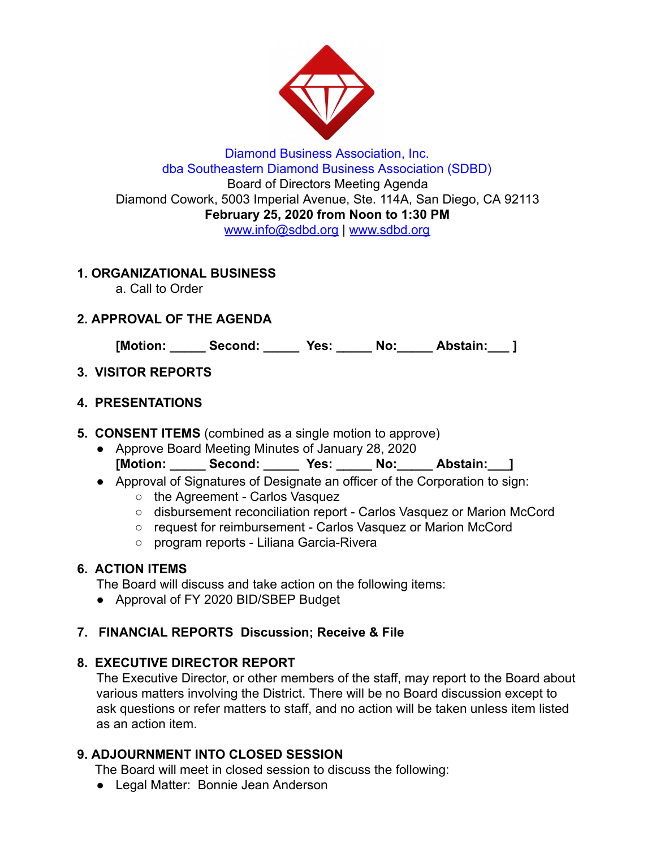

Diamond Business Association, Inc. dba Southeastern Diamond Business Association (SDBD) Board of Directors Meeting Agenda Diamond Cowork, 5003 Imperial Avenue, Ste. 114A, San Diego, CA 92113 **February 25, 2020 from Noon to 1:30 PM**  www.info@sdbd.org | [www.sdbd.org](http://www.sdbd.org/)

### **1. ORGANIZATIONAL BUSINESS**

a. Call to Order

# **2. APPROVAL OF THE AGENDA**

**[Motion: \_\_\_\_\_ Second: \_\_\_\_\_ Yes: \_\_\_\_\_ No:\_\_\_\_\_ Abstain:\_\_\_ ]** 

# **3. VISITOR REPORTS**

### **4. PRESENTATIONS**

- **5. CONSENT ITEMS** (combined as a single motion to approve)
	- Approve Board Meeting Minutes of January 28, 2020 **[Motion: \_\_\_\_\_ Second: \_\_\_\_\_ Yes: \_\_\_\_\_ No:\_\_\_\_\_ Abstain:\_\_\_]**
	- Approval of Signatures of Designate an officer of the Corporation to sign:
		- the Agreement Carlos Vasquez
		- disbursement reconciliation report Carlos Vasquez or Marion McCord
		- request for reimbursement Carlos Vasquez or Marion McCord
		- program reports Liliana Garcia-Rivera

# **6. ACTION ITEMS**

The Board will discuss and take action on the following items:

● Approval of FY 2020 BID/SBEP Budget

# **7. FINANCIAL REPORTS Discussion; Receive & File**

# **8. EXECUTIVE DIRECTOR REPORT**

The Executive Director, or other members of the staff, may report to the Board about various matters involving the District. There will be no Board discussion except to ask questions or refer matters to staff, and no action will be taken unless item listed as an action item.

# **9. ADJOURNMENT INTO CLOSED SESSION**

The Board will meet in closed session to discuss the following:

● Legal Matter: Bonnie Jean Anderson